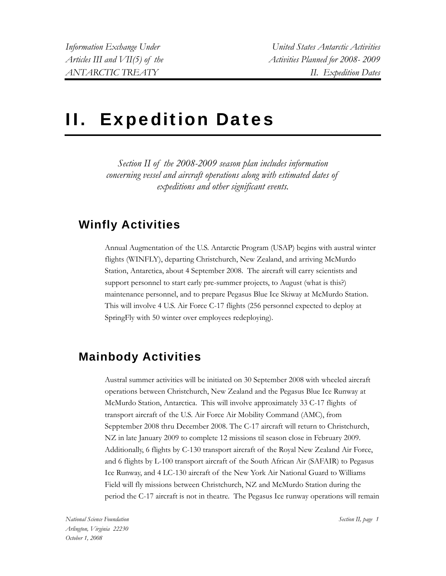*Information Exchange Under United States Antarctic Activities*  Articles III and VII(5) of the Activities Planned for 2008- 2009 *ANTARCTIC TREATY II. Expedition Dates* 

# II. Expedition Dates

*Section II of the 2008-2009 season plan includes information concerning vessel and aircraft operations along with estimated dates of expeditions and other significant events.* 

## **Winfly Activities**

Annual Augmentation of the U.S. Antarctic Program (USAP) begins with austral winter flights (WINFLY), departing Christchurch, New Zealand, and arriving McMurdo Station, Antarctica, about 4 September 2008. The aircraft will carry scientists and support personnel to start early pre-summer projects, to August (what is this?) maintenance personnel, and to prepare Pegasus Blue Ice Skiway at McMurdo Station. This will involve 4 U.S. Air Force C-17 flights (256 personnel expected to deploy at SpringFly with 50 winter over employees redeploying).

## **Mainbody Activities**

Austral summer activities will be initiated on 30 September 2008 with wheeled aircraft operations between Christchurch, New Zealand and the Pegasus Blue Ice Runway at McMurdo Station, Antarctica. This will involve approximately 33 C-17 flights of transport aircraft of the U.S. Air Force Air Mobility Command (AMC), from Sepptember 2008 thru December 2008. The C-17 aircraft will return to Christchurch, NZ in late January 2009 to complete 12 missions til season close in February 2009. Additionally, 6 flights by C-130 transport aircraft of the Royal New Zealand Air Force, and 6 flights by L-100 transport aircraft of the South African Air (SAFAIR) to Pegasus Ice Runway, and 4 LC-130 aircraft of the New York Air National Guard to Williams Field will fly missions between Christchurch, NZ and McMurdo Station during the period the C-17 aircraft is not in theatre. The Pegasus Ice runway operations will remain

*Section II, page 1*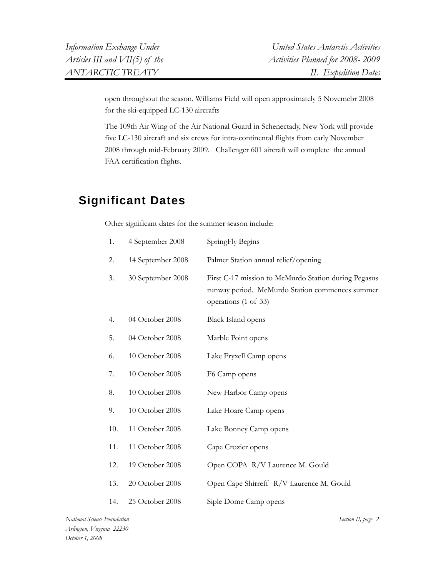open throughout the season. Williams Field will open approximately 5 Novemebr 2008 for the ski-equipped LC-130 aircrafts

The 109th Air Wing of the Air National Guard in Schenectady, New York will provide five LC-130 aircraft and six crews for intra-continental flights from early November 2008 through mid-February 2009. Challenger 601 aircraft will complete the annual FAA certification flights.

## **Significant Dates**

Other significant dates for the summer season include:

| 1.  | 4 September 2008  | SpringFly Begins                                                                                                                |
|-----|-------------------|---------------------------------------------------------------------------------------------------------------------------------|
| 2.  | 14 September 2008 | Palmer Station annual relief/opening                                                                                            |
| 3.  | 30 September 2008 | First C-17 mission to McMurdo Station during Pegasus<br>runway period. McMurdo Station commences summer<br>operations (1 of 33) |
| 4.  | 04 October 2008   | <b>Black Island opens</b>                                                                                                       |
| 5.  | 04 October 2008   | Marble Point opens                                                                                                              |
| 6.  | 10 October 2008   | Lake Fryxell Camp opens                                                                                                         |
| 7.  | 10 October 2008   | F6 Camp opens                                                                                                                   |
| 8.  | 10 October 2008   | New Harbor Camp opens                                                                                                           |
| 9.  | 10 October 2008   | Lake Hoare Camp opens                                                                                                           |
| 10. | 11 October 2008   | Lake Bonney Camp opens                                                                                                          |
| 11. | 11 October 2008   | Cape Crozier opens                                                                                                              |
| 12. | 19 October 2008   | Open COPA R/V Laurence M. Gould                                                                                                 |
| 13. | 20 October 2008   | Open Cape Shirreff R/V Laurence M. Gould                                                                                        |
| 14. | 25 October 2008   | Siple Dome Camp opens                                                                                                           |

*Section II, page 2*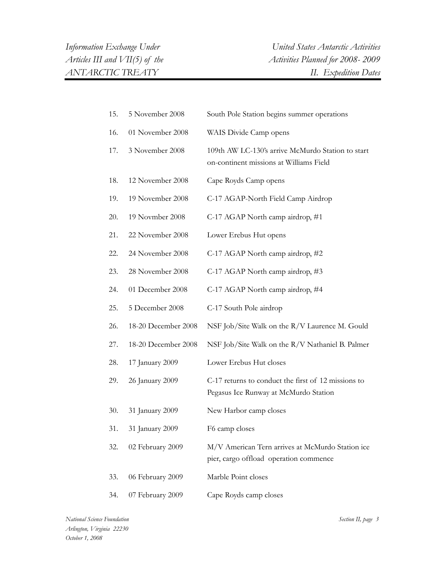| 15. | 5 November 2008     | South Pole Station begins summer operations                                                  |
|-----|---------------------|----------------------------------------------------------------------------------------------|
| 16. | 01 November 2008    | WAIS Divide Camp opens                                                                       |
| 17. | 3 November 2008     | 109th AW LC-130's arrive McMurdo Station to start<br>on-continent missions at Williams Field |
| 18. | 12 November 2008    | Cape Royds Camp opens                                                                        |
| 19. | 19 November 2008    | C-17 AGAP-North Field Camp Airdrop                                                           |
| 20. | 19 Novmber 2008     | C-17 AGAP North camp airdrop, #1                                                             |
| 21. | 22 November 2008    | Lower Erebus Hut opens                                                                       |
| 22. | 24 November 2008    | C-17 AGAP North camp airdrop, #2                                                             |
| 23. | 28 November 2008    | C-17 AGAP North camp airdrop, #3                                                             |
| 24. | 01 December 2008    | C-17 AGAP North camp airdrop, #4                                                             |
| 25. | 5 December 2008     | C-17 South Pole airdrop                                                                      |
| 26. | 18-20 December 2008 | NSF Job/Site Walk on the R/V Laurence M. Gould                                               |
| 27. | 18-20 December 2008 | NSF Job/Site Walk on the R/V Nathaniel B. Palmer                                             |
| 28. | 17 January 2009     | Lower Erebus Hut closes                                                                      |
| 29. | 26 January 2009     | C-17 returns to conduct the first of 12 missions to<br>Pegasus Ice Runway at McMurdo Station |
| 30. | 31 January 2009     | New Harbor camp closes                                                                       |
| 31. | 31 January 2009     | F6 camp closes                                                                               |
| 32. | 02 February 2009    | M/V American Tern arrives at McMurdo Station ice<br>pier, cargo offload operation commence   |
| 33. | 06 February 2009    | Marble Point closes                                                                          |
| 34. | 07 February 2009    | Cape Royds camp closes                                                                       |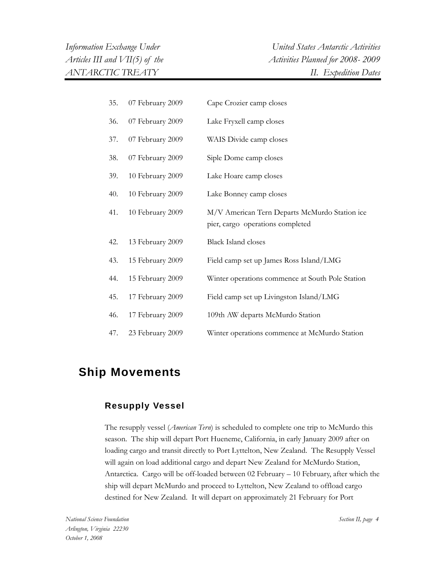| 35. | 07 February 2009 | Cape Crozier camp closes                                                          |
|-----|------------------|-----------------------------------------------------------------------------------|
| 36. | 07 February 2009 | Lake Fryxell camp closes                                                          |
| 37. | 07 February 2009 | WAIS Divide camp closes                                                           |
| 38. | 07 February 2009 | Siple Dome camp closes                                                            |
| 39. | 10 February 2009 | Lake Hoare camp closes                                                            |
| 40. | 10 February 2009 | Lake Bonney camp closes                                                           |
| 41. | 10 February 2009 | M/V American Tern Departs McMurdo Station ice<br>pier, cargo operations completed |
| 42. | 13 February 2009 | <b>Black Island closes</b>                                                        |
| 43. | 15 February 2009 | Field camp set up James Ross Island/LMG                                           |
| 44. | 15 February 2009 | Winter operations commence at South Pole Station                                  |
| 45. | 17 February 2009 | Field camp set up Livingston Island/LMG                                           |
| 46. | 17 February 2009 | 109th AW departs McMurdo Station                                                  |
| 47. | 23 February 2009 | Winter operations commence at McMurdo Station                                     |

## **Ship Movements**

#### **Resupply Vessel**

The resupply vessel (*American Tern*) is scheduled to complete one trip to McMurdo this season. The ship will depart Port Hueneme, California, in early January 2009 after on loading cargo and transit directly to Port Lyttelton, New Zealand. The Resupply Vessel will again on load additional cargo and depart New Zealand for McMurdo Station, Antarctica. Cargo will be off-loaded between 02 February – 10 February, after which the ship will depart McMurdo and proceed to Lyttelton, New Zealand to offload cargo destined for New Zealand. It will depart on approximately 21 February for Port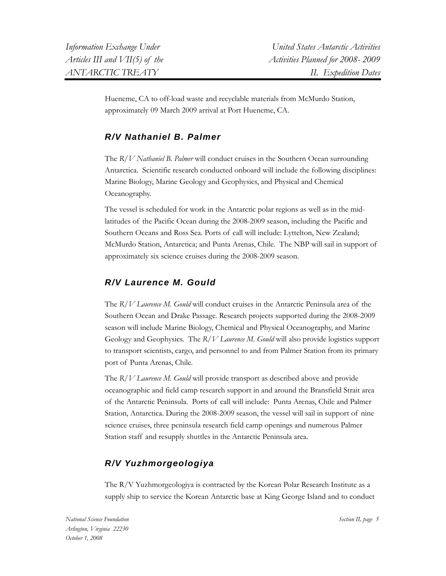Hueneme, CA to off-load waste and recyclable materials from McMurdo Station, approximately 09 March 2009 arrival at Port Hueneme, CA.

### *R/V Nathaniel B. Palmer*

The *R/V Nathaniel B. Palmer* will conduct cruises in the Southern Ocean surrounding Antarctica. Scientific research conducted onboard will include the following disciplines: Marine Biology, Marine Geology and Geophysics, and Physical and Chemical Oceanography.

The vessel is scheduled for work in the Antarctic polar regions as well as in the midlatitudes of the Pacific Ocean during the 2008-2009 season, including the Pacific and Southern Oceans and Ross Sea. Ports of call will include: Lyttelton, New Zealand; McMurdo Station, Antarctica; and Punta Arenas, Chile. The NBP will sail in support of approximately six science cruises during the 2008-2009 season.

#### *R/V Laurence M. Gould*

The *R/V Laurence M. Gould* will conduct cruises in the Antarctic Peninsula area of the Southern Ocean and Drake Passage. Research projects supported during the 2008-2009 season will include Marine Biology, Chemical and Physical Oceanography, and Marine Geology and Geophysics. The *R/V Laurence M. Gould* will also provide logistics support to transport scientists, cargo, and personnel to and from Palmer Station from its primary port of Punta Arenas, Chile.

The *R/V Laurence M. Gould* will provide transport as described above and provide oceanographic and field camp research support in and around the Bransfield Strait area of the Antarctic Peninsula. Ports of call will include: Punta Arenas, Chile and Palmer Station, Antarctica. During the 2008-2009 season, the vessel will sail in support of nine science cruises, three peninsula research field camp openings and numerous Palmer Station staff and resupply shuttles in the Antarctic Peninsula area.

### *R/V Yuzhmorgeologiya*

The R/V Yuzhmorgeologiya is contracted by the Korean Polar Research Institute as a supply ship to service the Korean Antarctic base at King George Island and to conduct